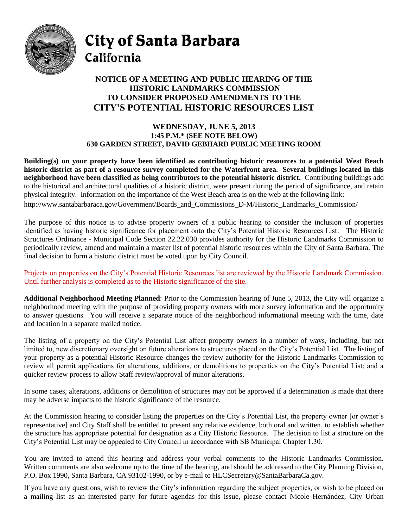

City of Santa Barbara California

## **NOTICE OF A MEETING AND PUBLIC HEARING OF THE HISTORIC LANDMARKS COMMISSION TO CONSIDER PROPOSED AMENDMENTS TO THE CITY'S POTENTIAL HISTORIC RESOURCES LIST**

## **WEDNESDAY, JUNE 5, 2013 1:45 P.M.\* (SEE NOTE BELOW) 630 GARDEN STREET, DAVID GEBHARD PUBLIC MEETING ROOM**

**Building(s) on your property have been identified as contributing historic resources to a potential West Beach historic district as part of a resource survey completed for the Waterfront area. Several buildings located in this neighborhood have been classified as being contributors to the potential historic district.** Contributing buildings add to the historical and architectural qualities of a historic district, were present during the period of significance, and retain physical integrity. Information on the importance of the West Beach area is on the web at the following link: http://www.santabarbaraca.gov/Government/Boards\_and\_Commissions\_D-M/Historic\_Landmarks\_Commission/

The purpose of this notice is to advise property owners of a public hearing to consider the inclusion of properties identified as having historic significance for placement onto the City's Potential Historic Resources List. The Historic Structures Ordinance - Municipal Code Section 22.22.030 provides authority for the Historic Landmarks Commission to periodically review, amend and maintain a master list of potential historic resources within the City of Santa Barbara. The final decision to form a historic district must be voted upon by City Council.

Projects on properties on the City's Potential Historic Resources list are reviewed by the Historic Landmark Commission. Until further analysis is completed as to the Historic significance of the site.

**Additional Neighborhood Meeting Planned**: Prior to the Commission hearing of June 5, 2013, the City will organize a neighborhood meeting with the purpose of providing property owners with more survey information and the opportunity to answer questions. You will receive a separate notice of the neighborhood informational meeting with the time, date and location in a separate mailed notice.

The listing of a property on the City's Potential List affect property owners in a number of ways, including, but not limited to, new discretionary oversight on future alterations to structures placed on the City's Potential List. The listing of your property as a potential Historic Resource changes the review authority for the Historic Landmarks Commission to review all permit applications for alterations, additions, or demolitions to properties on the City's Potential List; and a quicker review process to allow Staff review/approval of minor alterations.

In some cases, alterations, additions or demolition of structures may not be approved if a determination is made that there may be adverse impacts to the historic significance of the resource.

At the Commission hearing to consider listing the properties on the City's Potential List, the property owner [or owner's representative] and City Staff shall be entitled to present any relative evidence, both oral and written, to establish whether the structure has appropriate potential for designation as a City Historic Resource. The decision to list a structure on the City's Potential List may be appealed to City Council in accordance with SB Municipal Chapter 1.30.

You are invited to attend this hearing and address your verbal comments to the Historic Landmarks Commission. Written comments are also welcome up to the time of the hearing, and should be addressed to the City Planning Division, P.O. Box 1990, Santa Barbara, CA 93102-1990, or by e-mail to [HLCSecretary@SantaBarbaraCa.gov.](mailto:HLCSecretary@SantaBarbaraCa.gov)

If you have any questions, wish to review the City's information regarding the subject properties, or wish to be placed on a mailing list as an interested party for future agendas for this issue, please contact Nicole Hernández, City Urban